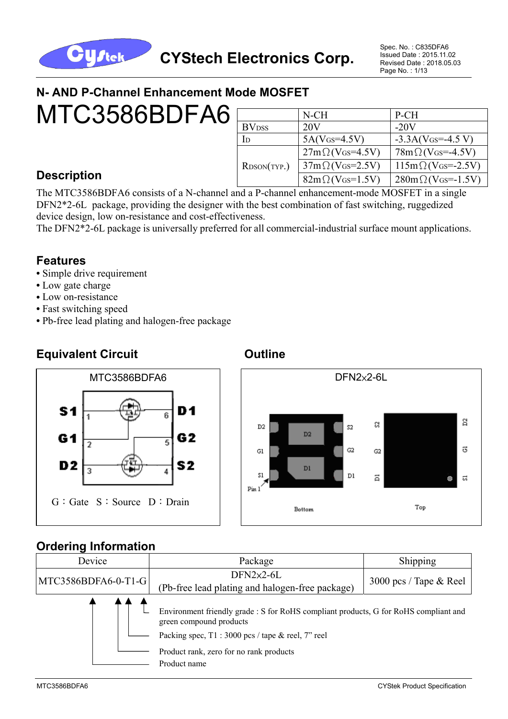

Spec. No. : C835DFA6 Issued Date : 2015.11.02 Revised Date : 2018.05.03 Page No. : 1/13

# **N- AND P-Channel Enhancement Mode MOSFET**

MTC3586BDFA6

|                          | N-CH                        | P-CH                              |
|--------------------------|-----------------------------|-----------------------------------|
| <b>BV</b> <sub>DSS</sub> | 20V                         | $-20V$                            |
| In                       | $5A(V$ <sub>GS</sub> =4.5V) | $-3.3A(V$ Gs= $-4.5 V$ )          |
|                          | $27m\Omega$ (VGs=4.5V)      | $78m\Omega$ (VGS=-4.5V)           |
| RDSON(TYP.)              | $37m\Omega$ (VGs=2.5V)      | $115m\Omega$ (VGs=-2.5V)          |
|                          | $82m\Omega$ (VGs=1.5V)      | $280 \text{m} \Omega$ (VGs=-1.5V) |

## **Description**

The MTC3586BDFA6 consists of a N-channel and a P-channel enhancement-mode MOSFET in a single DFN2\*2-6L package, providing the designer with the best combination of fast switching, ruggedized device design, low on-resistance and cost-effectiveness.

The DFN2\*2-6L package is universally preferred for all commercial-industrial surface mount applications.

#### **Features**

- Simple drive requirement
- Low gate charge

 $S<sub>1</sub>$ 

G<sub>1</sub>

D<sub>2</sub>

- Low on-resistance
- **•** Fast switching speed
- **•** Pb-free lead plating and halogen-free package

D1

G<sub>2</sub>

S2

ត

# **Equivalent Circuit Canadian Circuit Circuit Circuit Circuit Continue Outline**

 $\overline{ }$ 

 $\overline{3}$ 





#### **Ordering Information**

G:Gate S:Source D:Drain

| Device              | Package                                                                                                                                                                                                          | Shipping                  |  |  |
|---------------------|------------------------------------------------------------------------------------------------------------------------------------------------------------------------------------------------------------------|---------------------------|--|--|
| MTC3586BDFA6-0-T1-G | $DFN2\times2-6L$<br>(Pb-free lead plating and halogen-free package)                                                                                                                                              | 3000 pcs / Tape $\&$ Reel |  |  |
|                     | Environment friendly grade : S for RoHS compliant products, G for RoHS compliant and<br>green compound products<br>Packing spec, T1 : 3000 pcs / tape & reel, 7" reel<br>Product rank, zero for no rank products |                           |  |  |
|                     | Product name                                                                                                                                                                                                     |                           |  |  |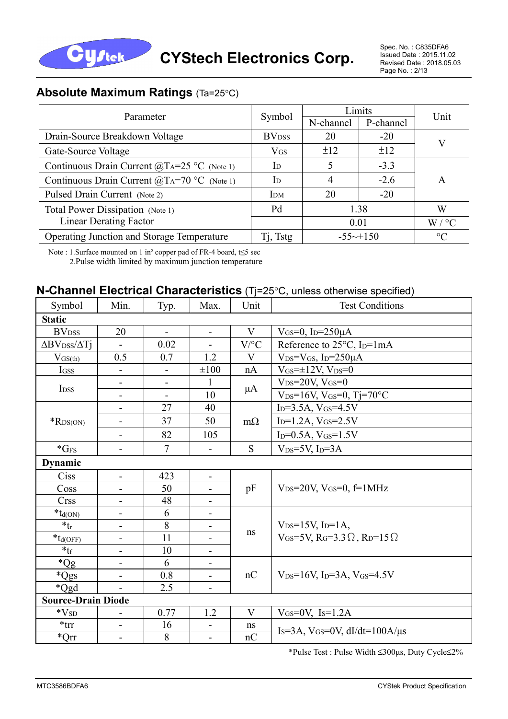

#### **Absolute Maximum Ratings** (Ta=25°C)

| Parameter                                                                    |                          | Limits                 | Unit      |                   |  |
|------------------------------------------------------------------------------|--------------------------|------------------------|-----------|-------------------|--|
|                                                                              | Symbol                   | N-channel              | P-channel |                   |  |
| Drain-Source Breakdown Voltage                                               | <b>BV</b> <sub>DSS</sub> | 20                     | $-20$     |                   |  |
| Gate-Source Voltage                                                          | $V$ <sub>GS</sub>        | ±12                    | ±12       |                   |  |
| Continuous Drain Current $(\widehat{\omega}T_A=25 \degree C)$ (Note 1)       | I <sub>D</sub>           | 5                      | $-3.3$    |                   |  |
| Continuous Drain Current $(\widehat{\omega}_{A}T_{A}=70 \degree C)$ (Note 1) | I <sub>D</sub>           | 4                      | $-2.6$    | A                 |  |
| Pulsed Drain Current (Note 2)                                                | IDM                      | 20                     | $-20$     |                   |  |
| Total Power Dissipation (Note 1)                                             | Pd                       |                        | 1.38      | W                 |  |
| <b>Linear Derating Factor</b>                                                |                          | 0.01                   |           | $W / {}^{\circ}C$ |  |
| Operating Junction and Storage Temperature                                   | Tj, Tstg                 | $-55 \rightarrow +150$ |           | $\rm ^{\circ}C$   |  |

Note : 1.Surface mounted on 1 in² copper pad of FR-4 board, t≤5 sec 2.Pulse width limited by maximum junction temperature

#### **N-Channel Electrical Characteristics** (Tj=25°C, unless otherwise specified)

| Symbol                                    | Min.                         | Typ.           | Max.                     | Unit      | <b>Test Conditions</b>                                                          |  |  |
|-------------------------------------------|------------------------------|----------------|--------------------------|-----------|---------------------------------------------------------------------------------|--|--|
| <b>Static</b>                             |                              |                |                          |           |                                                                                 |  |  |
| <b>BV</b> <sub>DSS</sub>                  | 20                           | $\blacksquare$ | $\overline{\phantom{0}}$ | V         | $V$ GS=0, I <sub>D</sub> =250 $\mu$ A                                           |  |  |
| $\Delta$ BV <sub>DSS</sub> / $\Delta$ Tj  | $\blacksquare$               | 0.02           | $\overline{\phantom{0}}$ | $V$ /°C   | Reference to 25°C, I <sub>D</sub> =1mA                                          |  |  |
| $V_{GS(th)}$                              | 0.5                          | 0.7            | 1.2                      | V         | $V_{DS}=V_{GS}$ , I <sub>D</sub> =250 $\mu$ A                                   |  |  |
| IGSS                                      |                              |                | $\pm 100$                | nA        | $V$ <sub>GS</sub> $=\pm 12V$ , $V_{DS}=0$                                       |  |  |
| I <sub>DSS</sub>                          | $\blacksquare$               | $\blacksquare$ | 1                        | $\mu A$   | $V_{DS}=20V, V_{GS}=0$                                                          |  |  |
|                                           | $\qquad \qquad \blacksquare$ | $\blacksquare$ | 10                       |           | $V_{DS}=16V$ , $V_{GS}=0$ , Tj=70°C                                             |  |  |
|                                           | Ξ.                           | 27             | 40                       |           | $I_D = 3.5A$ , $V_{GS} = 4.5V$                                                  |  |  |
| $*$ RDS(ON)                               | $\overline{\phantom{0}}$     | 37             | 50                       | $m\Omega$ | $I_{D}=1.2A, V_{GS}=2.5V$                                                       |  |  |
|                                           | $\overline{\phantom{0}}$     | 82             | 105                      |           | $I_D=0.5A, V_{GS}=1.5V$                                                         |  |  |
| $*GFS$                                    | -                            | $\overline{7}$ | $\overline{\phantom{0}}$ | S         | $V_{DS}=5V$ , I <sub>D</sub> =3A                                                |  |  |
| <b>Dynamic</b>                            |                              |                |                          |           |                                                                                 |  |  |
| Ciss                                      | $\overline{\phantom{0}}$     | 423            | $\blacksquare$           |           |                                                                                 |  |  |
| Coss                                      |                              | 50             |                          | pF        | $V_{DS}=20V$ , $V_{GS}=0$ , $f=1MHz$                                            |  |  |
| <b>Crss</b>                               |                              | 48             |                          |           |                                                                                 |  |  |
| $*_{\mathop{\text{\rm Id}}\nolimits(ON)}$ | $\overline{\phantom{0}}$     | 6              | -                        |           |                                                                                 |  |  |
| $*_{tr}$                                  |                              | 8              | -                        | $\rm ns$  | $V_{DS}=15V$ , I <sub>D</sub> =1A,                                              |  |  |
| $\mathbf{\text{*}}\mathbf{t}_{d(OFF)}$    |                              | 11             |                          |           | V <sub>GS</sub> =5V, R <sub>G</sub> =3.3 $\Omega$ , R <sub>D</sub> =15 $\Omega$ |  |  |
| $*_{\text{tf}}$                           | $\blacksquare$               | 10             | $\blacksquare$           |           |                                                                                 |  |  |
| $*Qg$                                     | Ξ.                           | 6              | $\overline{\phantom{0}}$ |           |                                                                                 |  |  |
| *Qgs                                      | $\overline{\phantom{0}}$     | 0.8            | $\overline{\phantom{0}}$ | nC        | $V_{DS}=16V$ , I <sub>D</sub> =3A, V <sub>GS</sub> =4.5V                        |  |  |
| *Qgd                                      | ÷.                           | 2.5            | $\blacksquare$           |           |                                                                                 |  |  |
|                                           | <b>Source-Drain Diode</b>    |                |                          |           |                                                                                 |  |  |
| $\rm ^*V_{SD}$                            | $\overline{\phantom{0}}$     | 0.77           | 1.2                      | V         | $V$ <sub>GS</sub> = $0$ V, I <sub>S</sub> = $1.2$ A                             |  |  |
| $*$ trr                                   | Ξ.                           | 16             | $\overline{\phantom{0}}$ | ns        | $Is=3A$ , $V$ GS=0V, dI/dt=100A/ $\mu$ s                                        |  |  |
| $^*Qrr$                                   |                              | 8              |                          | nC        |                                                                                 |  |  |

\*Pulse Test : Pulse Width ≤300μs, Duty Cycle≤2%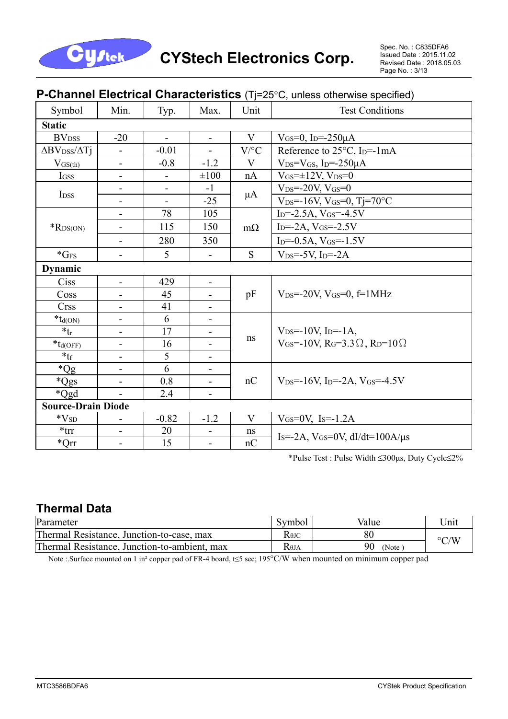

#### **P-Channel Electrical Characteristics** (Tj=25°C, unless otherwise specified)

| Symbol                                   | Min.                         | Typ.                         | Max.                     | Unit         | <b>Test Conditions</b>                                                     |
|------------------------------------------|------------------------------|------------------------------|--------------------------|--------------|----------------------------------------------------------------------------|
| <b>Static</b>                            |                              |                              |                          |              |                                                                            |
| <b>BV</b> <sub>DSS</sub>                 | $-20$                        | $\mathbf{r}$                 | $\blacksquare$           | $\mathbf{V}$ | $V$ <sub>GS</sub> =0, I <sub>D</sub> =-250 $\mu$ A                         |
| $\Delta$ BV <sub>DSS</sub> / $\Delta$ Tj | $\overline{\phantom{a}}$     | $-0.01$                      | $\blacksquare$           | $V$ /°C      | Reference to $25^{\circ}$ C, I <sub>D</sub> =-1mA                          |
| $V_{GS(th)}$                             | $\overline{\phantom{0}}$     | $-0.8$                       | $-1.2$                   | V            | $V_{DS}=V_{GS}$ , I <sub>D</sub> =-250 $\mu$ A                             |
| <b>IGSS</b>                              | $\overline{\phantom{a}}$     | $\qquad \qquad \blacksquare$ | $\pm 100$                | nA           | $V$ <sub>GS</sub> = $\pm$ 12V, V <sub>DS</sub> =0                          |
|                                          | $\overline{\phantom{0}}$     |                              | $-1$                     |              | $V_{DS} = -20V, V_{GS} = 0$                                                |
| I <sub>DSS</sub>                         | $\overline{\phantom{a}}$     | $\blacksquare$               | $-25$                    | $\mu A$      | $V_{DS} = -16V$ , $V_{GS} = 0$ , $Tj = 70^{\circ}C$                        |
|                                          | $\overline{\phantom{a}}$     | 78                           | 105                      |              | $I_{D} = -2.5A$ , $V_{GS} = -4.5V$                                         |
| $*$ RDS(ON)                              | $\overline{\phantom{0}}$     | 115                          | 150                      | $m\Omega$    | $I_D = -2A$ , $V_{GS} = -2.5V$                                             |
|                                          | $\overline{\phantom{a}}$     | 280                          | 350                      |              | $I_D = -0.5A$ , $V_{GS} = -1.5V$                                           |
| $*GFS$                                   | $\qquad \qquad \blacksquare$ | 5                            |                          | S            | $V_{DS} = -5V$ , I <sub>D</sub> $=-2A$                                     |
| <b>Dynamic</b>                           |                              |                              |                          |              |                                                                            |
| Ciss                                     | $\overline{\phantom{a}}$     | 429                          | $\overline{\phantom{a}}$ |              |                                                                            |
| Coss                                     | $\overline{\phantom{0}}$     | 45                           |                          | pF           | $V_{DS} = -20V$ , $V_{GS} = 0$ , $f = 1MHz$                                |
| <b>Crss</b>                              | $\overline{\phantom{a}}$     | 41                           | $\overline{\phantom{a}}$ |              |                                                                            |
| $*_{td(ON)}$                             |                              | 6                            | Ξ.                       |              |                                                                            |
| $*_{tr}$                                 | $\qquad \qquad -$            | 17                           | $\overline{\phantom{0}}$ |              | $V_{DS} = -10V$ , I <sub>D</sub> =-1A,                                     |
| $*_{td(OFF)}$                            | $\blacksquare$               | 16                           | -                        | ns           | $V_{GS}$ =-10V, R <sub>G</sub> =3.3 $\Omega$ , R <sub>D</sub> =10 $\Omega$ |
| $*_{\mathsf{tf}}$                        |                              | 5                            |                          |              |                                                                            |
| $*Qg$                                    | $\overline{\phantom{0}}$     | 6                            | $\overline{\phantom{0}}$ |              |                                                                            |
| *Qgs                                     | $\overline{\phantom{a}}$     | 0.8                          | -                        | nC           | $V_{DS} = 16V$ , I <sub>D</sub> =-2A, V <sub>GS</sub> =-4.5V               |
| *Qgd                                     |                              | 2.4                          | -                        |              |                                                                            |
| <b>Source-Drain Diode</b>                |                              |                              |                          |              |                                                                            |
| $*V_{SD}$                                | $\qquad \qquad \blacksquare$ | $-0.82$                      | $-1.2$                   | V            | $V$ GS=0V, Is=-1.2A                                                        |
| $*$ trr                                  |                              | 20                           |                          | ns           | $I_s = -2A$ , $V_{GS} = 0V$ , $dI/dt = 100A/\mu s$                         |
| $^*Qrr$                                  | $\overline{\phantom{0}}$     | 15                           | $\overline{\phantom{0}}$ | nC           |                                                                            |

\*Pulse Test : Pulse Width ≤300μs, Duty Cycle≤2%

## **Thermal Data**

| Parameter                                    | Symbol                               | Value       | "Jnit              |
|----------------------------------------------|--------------------------------------|-------------|--------------------|
| Thermal Resistance, Junction-to-case, max    | $R$ <sup><math>\theta</math>JC</sup> | 80          | $\rm ^{\circ} C/W$ |
| Thermal Resistance, Junction-to-ambient, max | Көја                                 | 90<br>(Note |                    |

Note :.Surface mounted on 1 in² copper pad of FR-4 board, t≤5 sec; 195°C/W when mounted on minimum copper pad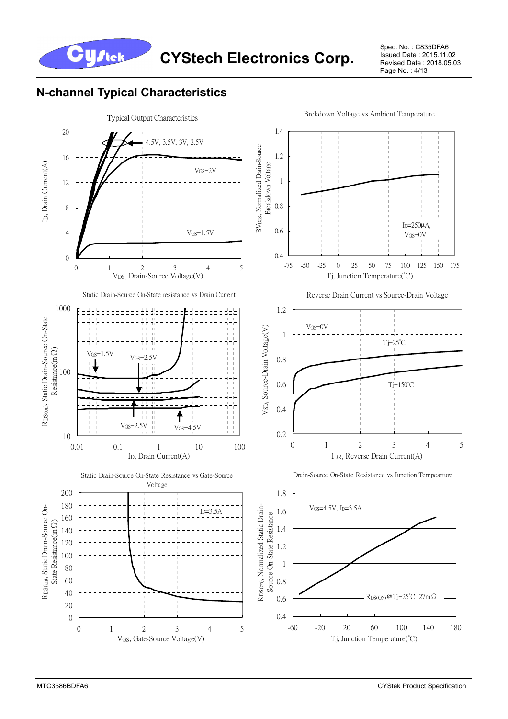

Spec. No. : C835DFA6 Issued Date : 2015.11.02 Revised Date : 2018.05.03 Page No. : 4/13

## **N-channel Typical Characteristics**

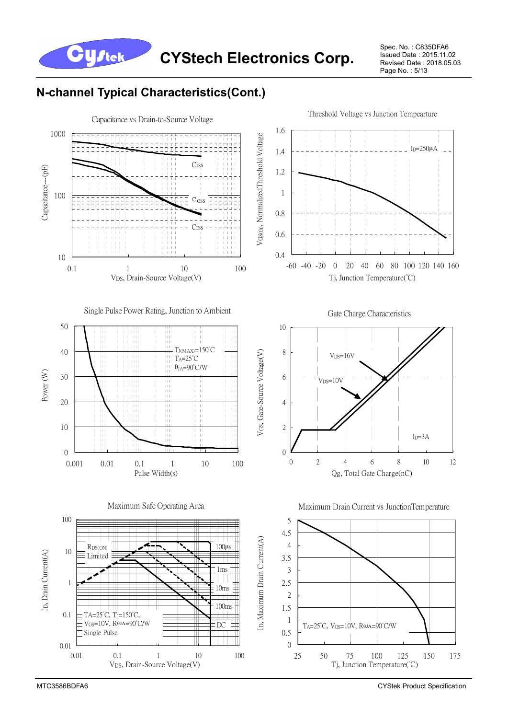**CYStech Electronics Corp.**

Spec. No. : C835DFA6 Issued Date : 2015.11.02 Revised Date : 2018.05.03 Page No. : 5/13

## **N-channel Typical Characteristics(Cont.)**

**Cystek** 

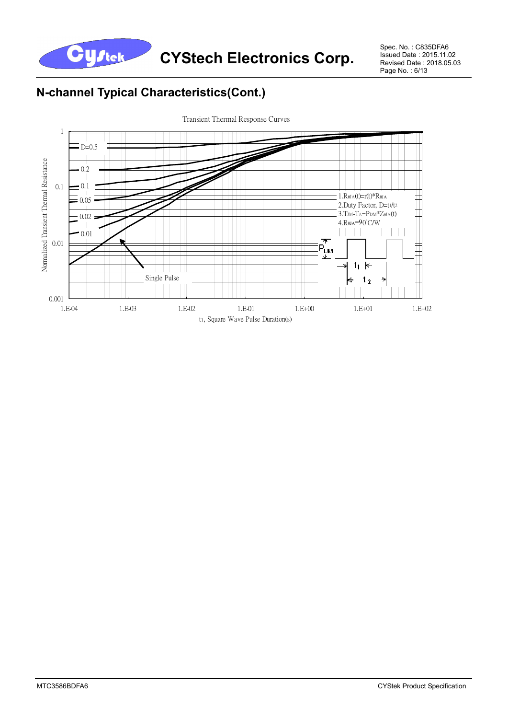

Spec. No. : C835DFA6 Issued Date : 2015.11.02 Revised Date : 2018.05.03 Page No.: 6/13

# **N-channel Typical Characteristics(Cont.)**



Transient Thermal Response Curves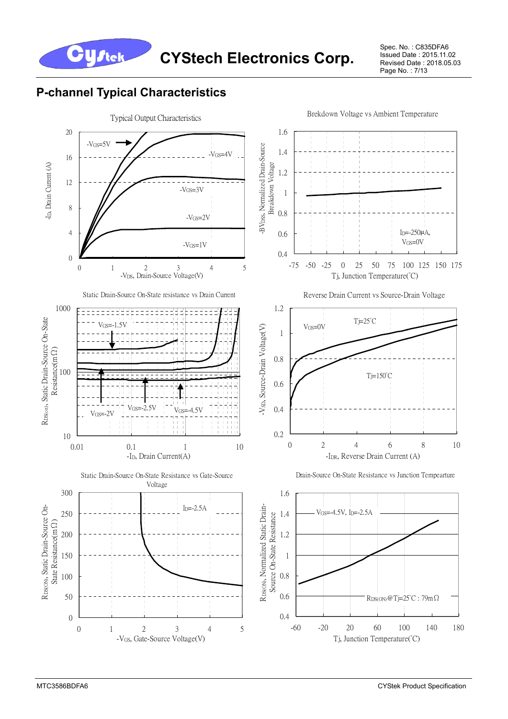

Spec. No. : C835DFA6 Issued Date : 2015.11.02 Revised Date : 2018.05.03 Page No. : 7/13

## **P-channel Typical Characteristics**

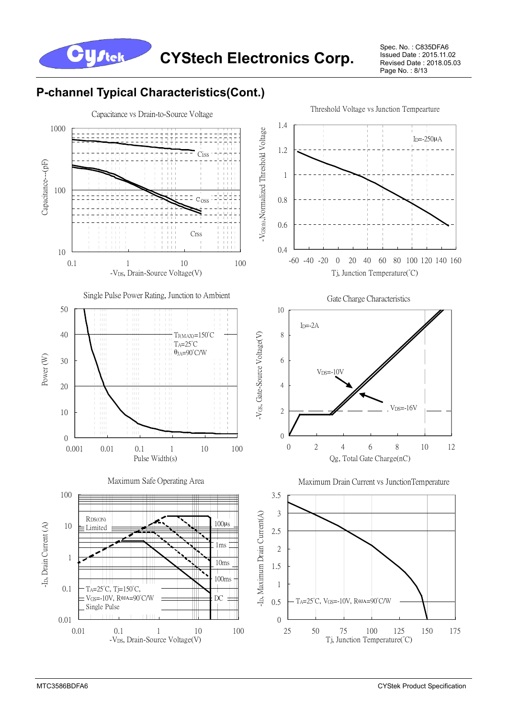

Spec. No. : C835DFA6 Issued Date : 2015.11.02 Revised Date : 2018.05.03 Page No. : 8/13

## **P-channel Typical Characteristics(Cont.)**

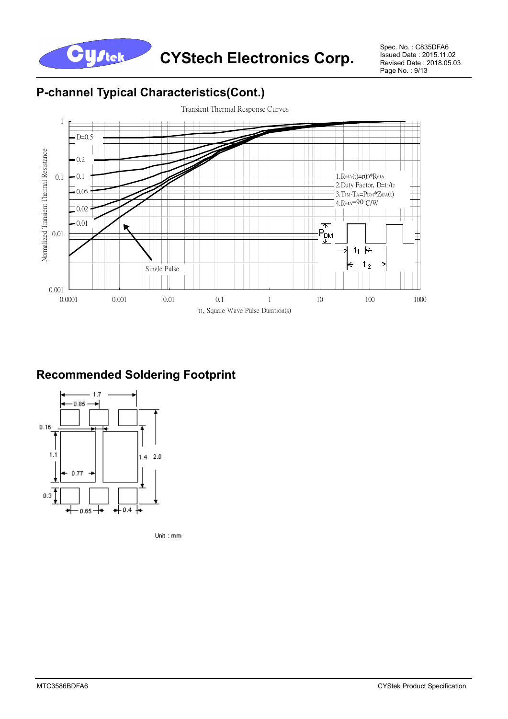

Spec. No. : C835DFA6 Issued Date : 2015.11.02 Revised Date : 2018.05.03 Page No. : 9/13

## **P-channel Typical Characteristics(Cont.)**



## **Recommended Soldering Footprint**



Unit: mm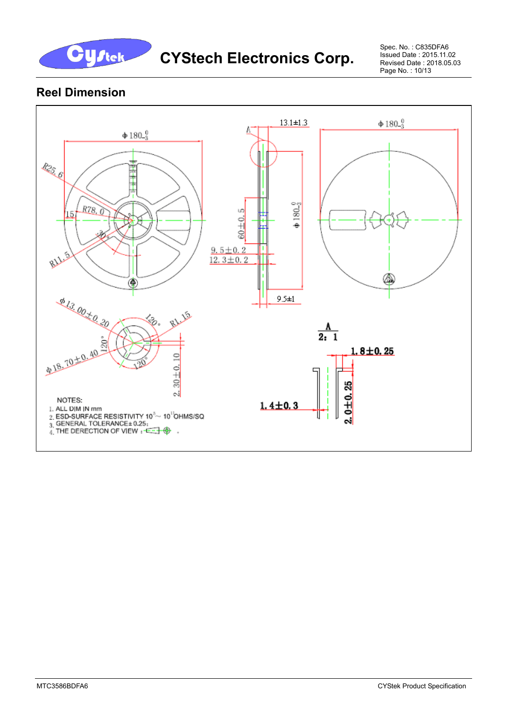

Spec. No. : C835DFA6 Issued Date : 2015.11.02 Revised Date : 2018.05.03 Page No. : 10/13

## **Reel Dimension**

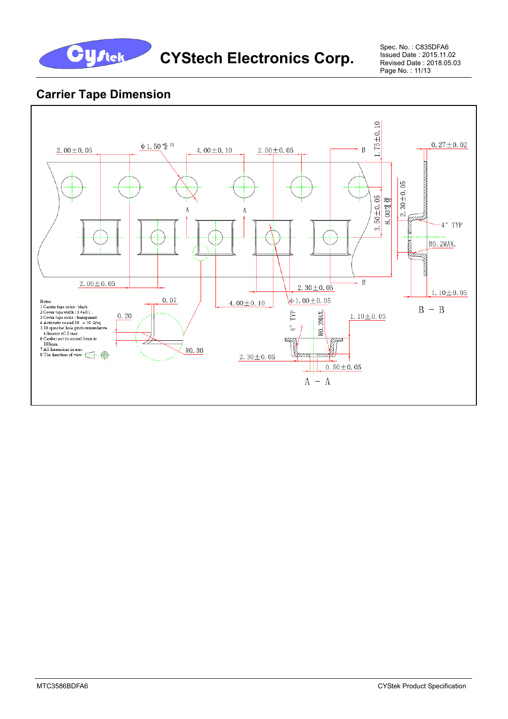

Spec. No. : C835DFA6 Issued Date : 2015.11.02 Revised Date : 2018.05.03 Page No. : 11/13

#### **Carrier Tape Dimension**

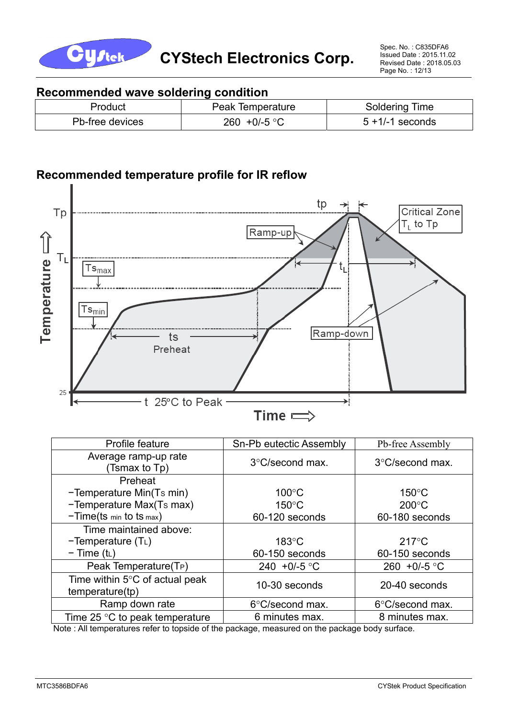

#### **Recommended wave soldering condition**

| Product         | Peak Temperature | Soldering Time     |
|-----------------|------------------|--------------------|
| Pb-free devices | 260 +0/-5 °C     | $5 + 1/-1$ seconds |

### **Recommended temperature profile for IR reflow**



| Profile feature                                   | Sn-Pb eutectic Assembly   | Pb-free Assembly       |
|---------------------------------------------------|---------------------------|------------------------|
| Average ramp-up rate<br>(Tsmax to Tp)             | $3^{\circ}$ C/second max. | 3°C/second max.        |
| Preheat                                           |                           |                        |
| -Temperature Min(Ts min)                          | $100^{\circ}$ C           | $150^{\circ}$ C        |
| -Temperature Max(Ts max)                          | $150^{\circ}$ C           | $200^{\circ}$ C        |
| $-Time(ts \ min to ts \ max)$                     | 60-120 seconds            | 60-180 seconds         |
| Time maintained above:                            |                           |                        |
| $-Temperature(TL)$                                | $183^\circ C$             | $217^{\circ}$ C        |
| $-$ Time (t <sub>L</sub> )                        | 60-150 seconds            | 60-150 seconds         |
| Peak Temperature(T <sub>P</sub> )                 | 240 +0/-5 °C              | 260 +0/-5 $^{\circ}$ C |
| Time within 5°C of actual peak<br>temperature(tp) | 10-30 seconds             | 20-40 seconds          |
| Ramp down rate                                    | 6°C/second max.           | 6°C/second max.        |
| Time 25 $\degree$ C to peak temperature           | 6 minutes max.            | 8 minutes max.         |

Note : All temperatures refer to topside of the package, measured on the package body surface.